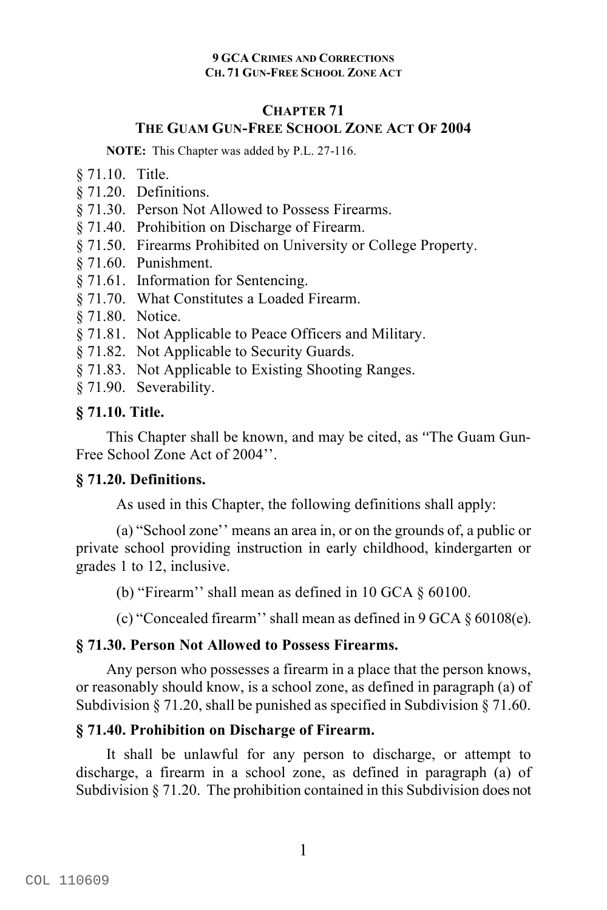### **CHAPTER 71 THE GUAM GUN-FREE SCHOOL ZONE ACT OF 2004**

**NOTE:** This Chapter was added by P.L. 27-116.

- § 71.10. Title.
- § 71.20. Definitions.
- § 71.30. Person Not Allowed to Possess Firearms.
- § 71.40. Prohibition on Discharge of Firearm.
- § 71.50. Firearms Prohibited on University or College Property.
- § 71.60. Punishment.
- § 71.61. Information for Sentencing.
- § 71.70. What Constitutes a Loaded Firearm.
- § 71.80. Notice.
- § 71.81. Not Applicable to Peace Officers and Military.
- § 71.82. Not Applicable to Security Guards.
- § 71.83. Not Applicable to Existing Shooting Ranges.
- § 71.90. Severability.

# **§ 71.10. Title.**

This Chapter shall be known, and may be cited, as "The Guam Gun-Free School Zone Act of 2004''.

# **§ 71.20. Definitions.**

As used in this Chapter, the following definitions shall apply:

(a) "School zone'' means an area in, or on the grounds of, a public or private school providing instruction in early childhood, kindergarten or grades 1 to 12, inclusive.

(b) "Firearm'' shall mean as defined in 10 GCA § 60100.

(c) "Concealed firearm'' shall mean as defined in 9 GCA § 60108(e).

# **§ 71.30. Person Not Allowed to Possess Firearms.**

Any person who possesses a firearm in a place that the person knows, or reasonably should know, is a school zone, as defined in paragraph (a) of Subdivision § 71.20, shall be punished as specified in Subdivision § 71.60.

# **§ 71.40. Prohibition on Discharge of Firearm.**

It shall be unlawful for any person to discharge, or attempt to discharge, a firearm in a school zone, as defined in paragraph (a) of Subdivision § 71.20. The prohibition contained in this Subdivision does not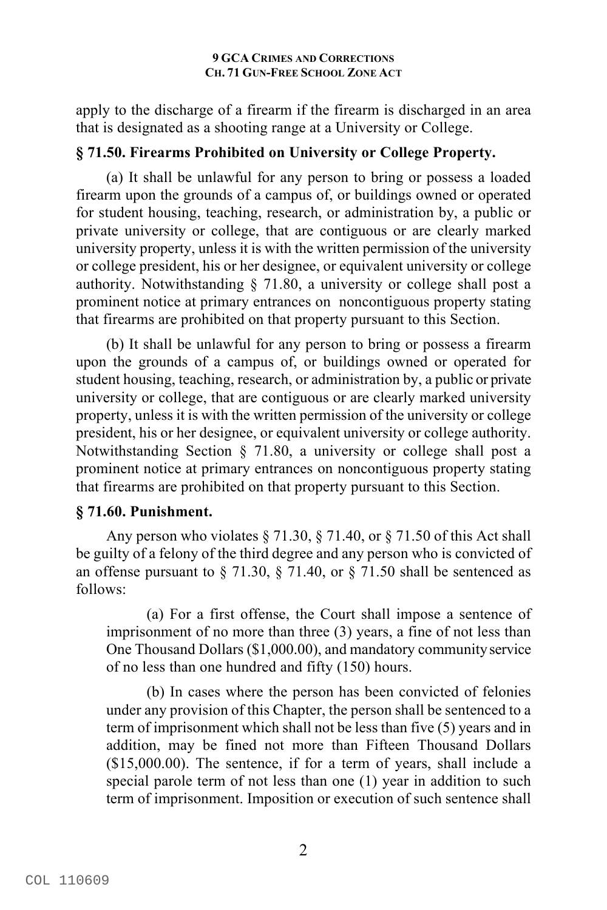apply to the discharge of a firearm if the firearm is discharged in an area that is designated as a shooting range at a University or College.

# **§ 71.50. Firearms Prohibited on University or College Property.**

(a) It shall be unlawful for any person to bring or possess a loaded firearm upon the grounds of a campus of, or buildings owned or operated for student housing, teaching, research, or administration by, a public or private university or college, that are contiguous or are clearly marked university property, unless it is with the written permission of the university or college president, his or her designee, or equivalent university or college authority. Notwithstanding § 71.80, a university or college shall post a prominent notice at primary entrances on noncontiguous property stating that firearms are prohibited on that property pursuant to this Section.

(b) It shall be unlawful for any person to bring or possess a firearm upon the grounds of a campus of, or buildings owned or operated for student housing, teaching, research, or administration by, a public or private university or college, that are contiguous or are clearly marked university property, unless it is with the written permission of the university or college president, his or her designee, or equivalent university or college authority. Notwithstanding Section § 71.80, a university or college shall post a prominent notice at primary entrances on noncontiguous property stating that firearms are prohibited on that property pursuant to this Section.

# **§ 71.60. Punishment.**

Any person who violates  $\S 71.30$ ,  $\S 71.40$ , or  $\S 71.50$  of this Act shall be guilty of a felony of the third degree and any person who is convicted of an offense pursuant to  $\S$  71.30,  $\S$  71.40, or  $\S$  71.50 shall be sentenced as follows:

(a) For a first offense, the Court shall impose a sentence of imprisonment of no more than three (3) years, a fine of not less than One Thousand Dollars (\$1,000.00), and mandatory communityservice of no less than one hundred and fifty (150) hours.

(b) In cases where the person has been convicted of felonies under any provision of this Chapter, the person shall be sentenced to a term of imprisonment which shall not be less than five (5) years and in addition, may be fined not more than Fifteen Thousand Dollars (\$15,000.00). The sentence, if for a term of years, shall include a special parole term of not less than one (1) year in addition to such term of imprisonment. Imposition or execution of such sentence shall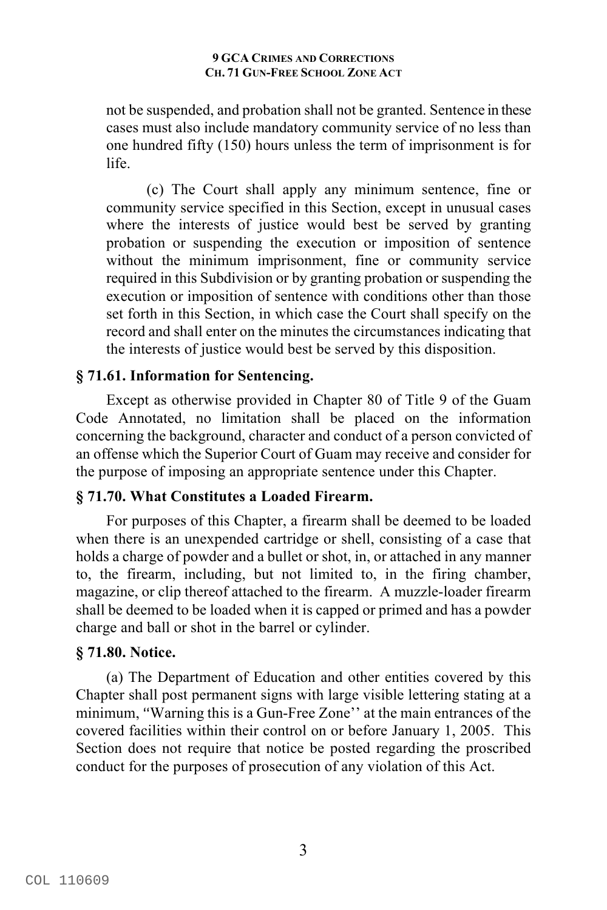not be suspended, and probation shall not be granted. Sentence in these cases must also include mandatory community service of no less than one hundred fifty (150) hours unless the term of imprisonment is for life.

(c) The Court shall apply any minimum sentence, fine or community service specified in this Section, except in unusual cases where the interests of justice would best be served by granting probation or suspending the execution or imposition of sentence without the minimum imprisonment, fine or community service required in this Subdivision or by granting probation or suspending the execution or imposition of sentence with conditions other than those set forth in this Section, in which case the Court shall specify on the record and shall enter on the minutes the circumstances indicating that the interests of justice would best be served by this disposition.

# **§ 71.61. Information for Sentencing.**

Except as otherwise provided in Chapter 80 of Title 9 of the Guam Code Annotated, no limitation shall be placed on the information concerning the background, character and conduct of a person convicted of an offense which the Superior Court of Guam may receive and consider for the purpose of imposing an appropriate sentence under this Chapter.

# **§ 71.70. What Constitutes a Loaded Firearm.**

For purposes of this Chapter, a firearm shall be deemed to be loaded when there is an unexpended cartridge or shell, consisting of a case that holds a charge of powder and a bullet or shot, in, or attached in any manner to, the firearm, including, but not limited to, in the firing chamber, magazine, or clip thereof attached to the firearm. A muzzle-loader firearm shall be deemed to be loaded when it is capped or primed and has a powder charge and ball or shot in the barrel or cylinder.

# **§ 71.80. Notice.**

(a) The Department of Education and other entities covered by this Chapter shall post permanent signs with large visible lettering stating at a minimum, "Warning this is a Gun-Free Zone" at the main entrances of the covered facilities within their control on or before January 1, 2005. This Section does not require that notice be posted regarding the proscribed conduct for the purposes of prosecution of any violation of this Act.